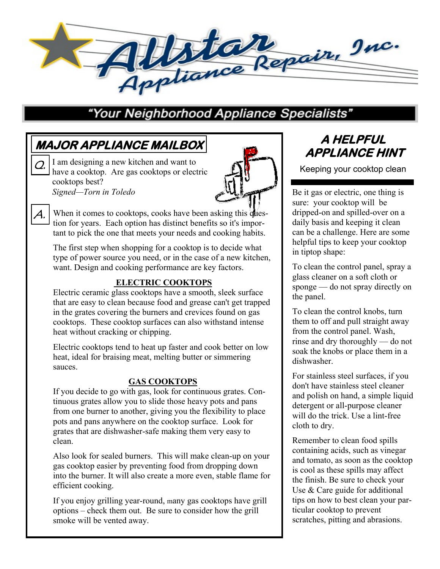

### "Your Neighborhood Appliance Specialists"

## **MAJOR APPLIANCE MAILBOX**

Q.

I am designing a new kitchen and want to have a cooktop. Are gas cooktops or electric cooktops best? *Signed—Torn in Toledo*



When it comes to cooktops, cooks have been asking this question for years. Each option has distinct benefits so it's important to pick the one that meets your needs and cooking habits.

The first step when shopping for a cooktop is to decide what type of power source you need, or in the case of a new kitchen, want. Design and cooking performance are key factors.

#### **ELECTRIC COOKTOPS**

Electric ceramic glass cooktops have a smooth, sleek surface that are easy to clean because food and grease can't get trapped in the grates covering the burners and crevices found on gas cooktops. These cooktop surfaces can also withstand intense heat without cracking or chipping.

Electric cooktops tend to heat up faster and cook better on low heat, ideal for braising meat, melting butter or simmering sauces.

#### **GAS COOKTOPS**

If you decide to go with gas, look for continuous grates. Continuous grates allow you to slide those heavy pots and pans from one burner to another, giving you the flexibility to place pots and pans anywhere on the cooktop surface. Look for grates that are dishwasher-safe making them very easy to clean.

Also look for sealed burners. This will make clean-up on your gas cooktop easier by preventing food from dropping down into the burner. It will also create a more even, stable flame for efficient cooking.

If you enjoy grilling year-round, many gas cooktops have grill options – check them out. Be sure to consider how the grill smoke will be vented away.

### **A HELPFUL APPLIANCE HINT**

Keeping your cooktop clean

Be it gas or electric, one thing is sure: your cooktop will be dripped-on and spilled-over on a daily basis and keeping it clean can be a challenge. Here are some helpful tips to keep your cooktop in tiptop shape:

To clean the control panel, spray a glass cleaner on a soft cloth or sponge — do not spray directly on the panel.

To clean the control knobs, turn them to off and pull straight away from the control panel. Wash, rinse and dry thoroughly — do not soak the knobs or place them in a dishwasher.

For stainless steel surfaces, if you don't have stainless steel cleaner and polish on hand, a simple liquid detergent or all-purpose cleaner will do the trick. Use a lint-free cloth to dry.

Remember to clean food spills containing acids, such as vinegar and tomato, as soon as the cooktop is cool as these spills may affect the finish. Be sure to check your Use & Care guide for additional tips on how to best clean your particular cooktop to prevent scratches, pitting and abrasions.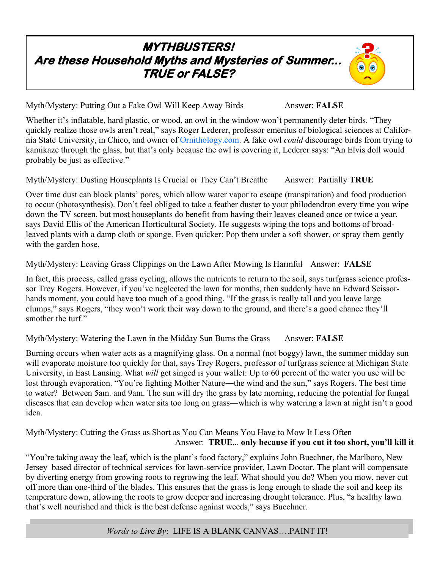#### **MYTHBUSTERS! Are these Household Myths and Mysteries of Summer... TRUE or FALSE?**



Myth/Mystery: Putting Out a Fake Owl Will Keep Away Birds Answer: **FALSE**

Whether it's inflatable, hard plastic, or wood, an owl in the window won't permanently deter birds. "They quickly realize those owls aren't real," says Roger Lederer, professor emeritus of biological sciences at California State University, in Chico, and owner of [Ornithology.com.](http://ornithology.com/) A fake owl *could* discourage birds from trying to kamikaze through the glass, but that's only because the owl is covering it, Lederer says: "An Elvis doll would probably be just as effective."

Myth/Mystery: Dusting Houseplants Is Crucial or They Can't Breathe Answer: Partially **TRUE**

Over time dust can block plants' pores, which allow water vapor to escape (transpiration) and food production to occur (photosynthesis). Don't feel obliged to take a feather duster to your philodendron every time you wipe down the TV screen, but most houseplants do benefit from having their leaves cleaned once or twice a year, says David Ellis of the American Horticultural Society. He suggests wiping the tops and bottoms of broadleaved plants with a damp cloth or sponge. Even quicker: Pop them under a soft shower, or spray them gently with the garden hose.

Myth/Mystery: Leaving Grass Clippings on the Lawn After Mowing Is Harmful Answer: **FALSE**

In fact, this process, called grass cycling, allows the nutrients to return to the soil, says turfgrass science professor Trey Rogers. However, if you've neglected the lawn for months, then suddenly have an Edward Scissorhands moment, you could have too much of a good thing. "If the grass is really tall and you leave large clumps," says Rogers, "they won't work their way down to the ground, and there's a good chance they'll smother the turf."

Myth/Mystery: Watering the Lawn in the Midday Sun Burns the Grass Answer: **FALSE**

Burning occurs when water acts as a magnifying glass. On a normal (not boggy) lawn, the summer midday sun will evaporate moisture too quickly for that, says Trey Rogers, professor of turfgrass science at Michigan State University, in East Lansing. What *will* get singed is your wallet: Up to 60 percent of the water you use will be lost through evaporation. "You're fighting Mother Nature—the wind and the sun," says Rogers. The best time to water? Between 5am. and 9am. The sun will dry the grass by late morning, reducing the potential for fungal diseases that can develop when water sits too long on grass―which is why watering a lawn at night isn't a good idea.

Myth/Mystery: Cutting the Grass as Short as You Can Means You Have to Mow It Less Often Answer: **TRUE**... **only because if you cut it too short, you'll kill it** 

"You're taking away the leaf, which is the plant's food factory," explains John Buechner, the Marlboro, New Jersey–based director of technical services for lawn-service provider, Lawn Doctor. The plant will compensate by diverting energy from growing roots to regrowing the leaf. What should you do? When you mow, never cut off more than one-third of the blades. This ensures that the grass is long enough to shade the soil and keep its temperature down, allowing the roots to grow deeper and increasing drought tolerance. Plus, "a healthy lawn that's well nourished and thick is the best defense against weeds," says Buechner.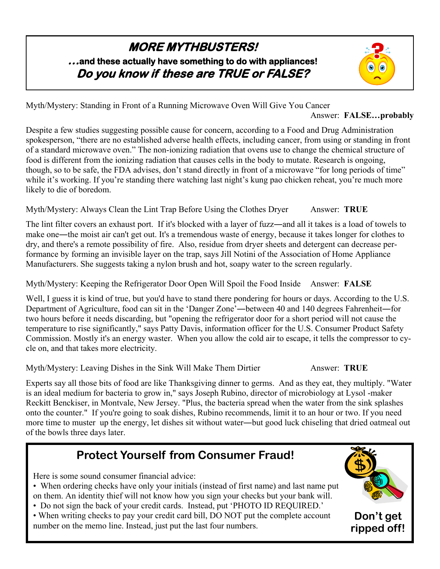## **MORE MYTHBUSTERS! …and these actually have something to do with appliances! Do you know if these are TRUE or FALSE?**



Myth/Mystery: Standing in Front of a Running Microwave Oven Will Give You Cancer

#### Answer: **FALSE…probably**

Despite a few studies suggesting possible cause for concern, according to a Food and Drug Administration spokesperson, "there are no established adverse health effects, including cancer, from using or standing in front of a standard microwave oven." The non-ionizing radiation that ovens use to change the chemical structure of food is different from the ionizing radiation that causes cells in the body to mutate. Research is ongoing, though, so to be safe, the FDA advises, don't stand directly in front of a microwave "for long periods of time" while it's working. If you're standing there watching last night's kung pao chicken reheat, you're much more likely to die of boredom.

Myth/Mystery: Always Clean the Lint Trap Before Using the Clothes Dryer Answer: **TRUE**

The lint filter covers an exhaust port. If it's blocked with a layer of fuzz―and all it takes is a load of towels to make one―the moist air can't get out. It's a tremendous waste of energy, because it takes longer for clothes to dry, and there's a remote possibility of fire. Also, residue from dryer sheets and detergent can decrease performance by forming an invisible layer on the trap, says Jill Notini of the Association of Home Appliance Manufacturers. She suggests taking a nylon brush and hot, soapy water to the screen regularly.

Myth/Mystery: Keeping the Refrigerator Door Open Will Spoil the Food Inside Answer: **FALSE**

Well, I guess it is kind of true, but you'd have to stand there pondering for hours or days. According to the U.S. Department of Agriculture, food can sit in the 'Danger Zone'—between 40 and 140 degrees Fahrenheit—for two hours before it needs discarding, but "opening the refrigerator door for a short period will not cause the temperature to rise significantly," says Patty Davis, information officer for the U.S. Consumer Product Safety Commission. Mostly it's an energy waster. When you allow the cold air to escape, it tells the compressor to cycle on, and that takes more electricity.

Myth/Mystery: Leaving Dishes in the Sink Will Make Them Dirtier Answer: **TRUE**

Experts say all those bits of food are like Thanksgiving dinner to germs. And as they eat, they multiply. "Water is an ideal medium for bacteria to grow in," says Joseph Rubino, director of microbiology at Lysol -maker Reckitt Benckiser, in Montvale, New Jersey. "Plus, the bacteria spread when the water from the sink splashes onto the counter." If you're going to soak dishes, Rubino recommends, limit it to an hour or two. If you need more time to muster up the energy, let dishes sit without water―but good luck chiseling that dried oatmeal out of the bowls three days later.

# **Protect Yourself from Consumer Fraud!**

Here is some sound consumer financial advice:

- When ordering checks have only your initials (instead of first name) and last name put on them. An identity thief will not know how you sign your checks but your bank will.
- Do not sign the back of your credit cards. Instead, put 'PHOTO ID REQUIRED.'
- When writing checks to pay your credit card bill, DO NOT put the complete account number on the memo line. Instead, just put the last four numbers.



**Don't get ripped off!**